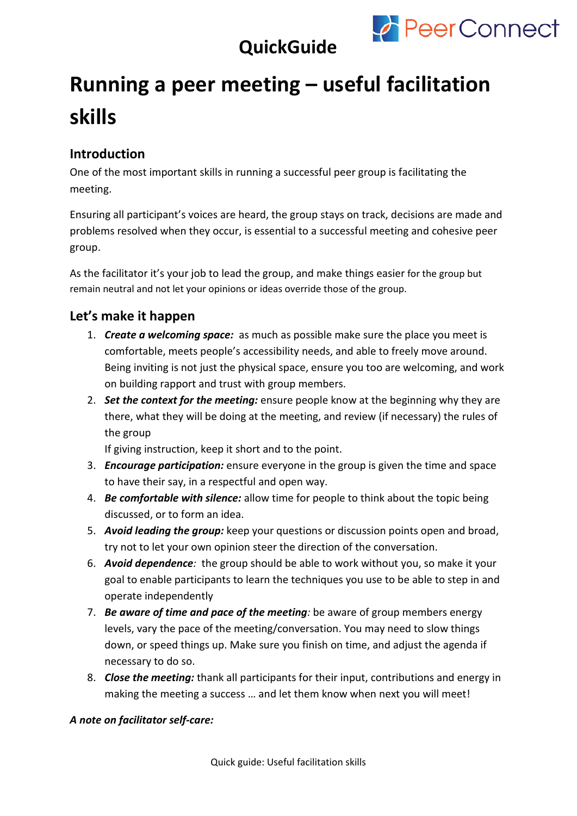

## **QuickGuide**

# **Running a peer meeting – useful facilitation skills**

## **Introduction**

One of the most important skills in running a successful peer group is facilitating the meeting.

Ensuring all participant's voices are heard, the group stays on track, decisions are made and problems resolved when they occur, is essential to a successful meeting and cohesive peer group.

As the facilitator it's your job to lead the group, and make things easier for the group but remain neutral and not let your opinions or ideas override those of the group.

## **Let's make it happen**

- 1. *Create a welcoming space:* as much as possible make sure the place you meet is comfortable, meets people's accessibility needs, and able to freely move around. Being inviting is not just the physical space, ensure you too are welcoming, and work on building rapport and trust with group members.
- 2. *Set the context for the meeting:* ensure people know at the beginning why they are there, what they will be doing at the meeting, and review (if necessary) the rules of the group

If giving instruction, keep it short and to the point.

- 3. *Encourage participation:* ensure everyone in the group is given the time and space to have their say, in a respectful and open way.
- 4. *Be comfortable with silence:* allow time for people to think about the topic being discussed, or to form an idea.
- 5. *Avoid leading the group:* keep your questions or discussion points open and broad, try not to let your own opinion steer the direction of the conversation.
- 6. *Avoid dependence:* the group should be able to work without you, so make it your goal to enable participants to learn the techniques you use to be able to step in and operate independently
- 7. *Be aware of time and pace of the meeting:* be aware of group members energy levels, vary the pace of the meeting/conversation. You may need to slow things down, or speed things up. Make sure you finish on time, and adjust the agenda if necessary to do so.
- 8. *Close the meeting:* thank all participants for their input, contributions and energy in making the meeting a success … and let them know when next you will meet!

#### *A note on facilitator self-care:*